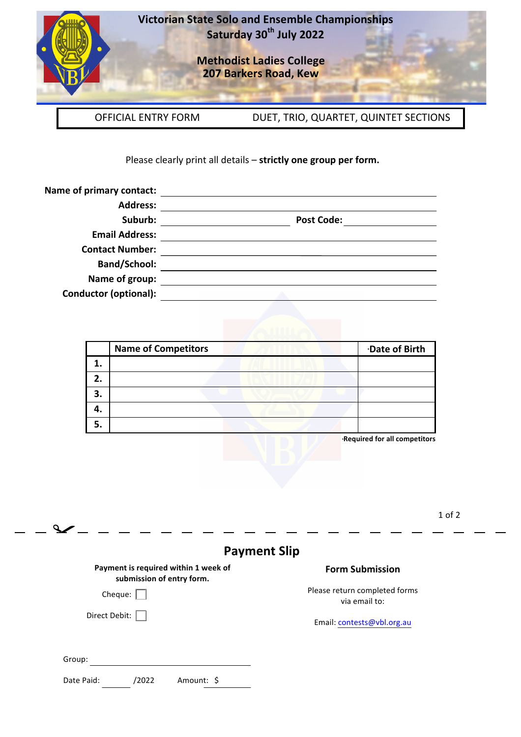

 $\mathbf{Q}$ 

**Victorian State Solo and Ensemble Championships Saturday 30th July 2022**

> **Methodist Ladies College 207 Barkers Road, Kew**

OFFICIAL ENTRY FORM DUET, TRIO, QUARTET, QUINTET SECTIONS

Please clearly print all details - strictly one group per form.

| Name of primary contact:     |                   |
|------------------------------|-------------------|
| <b>Address:</b>              |                   |
| Suburb:                      | <b>Post Code:</b> |
| <b>Email Address:</b>        |                   |
| <b>Contact Number:</b>       |                   |
| <b>Band/School:</b>          |                   |
| Name of group:               |                   |
| <b>Conductor (optional):</b> |                   |

|    | <b>Name of Competitors</b> | Date of Birth |
|----|----------------------------|---------------|
|    |                            |               |
|    |                            |               |
| 3. |                            |               |
|    |                            |               |
|    |                            |               |

+ **Required for all competitors**

1 of 2

|                                                                   | <b>Payment Slip</b>                            |
|-------------------------------------------------------------------|------------------------------------------------|
| Payment is required within 1 week of<br>submission of entry form. | <b>Form Submission</b>                         |
| Cheque:                                                           | Please return completed forms<br>via email to: |
| Direct Debit:                                                     | Email: contests@vbl.org.au                     |
| Group:                                                            |                                                |